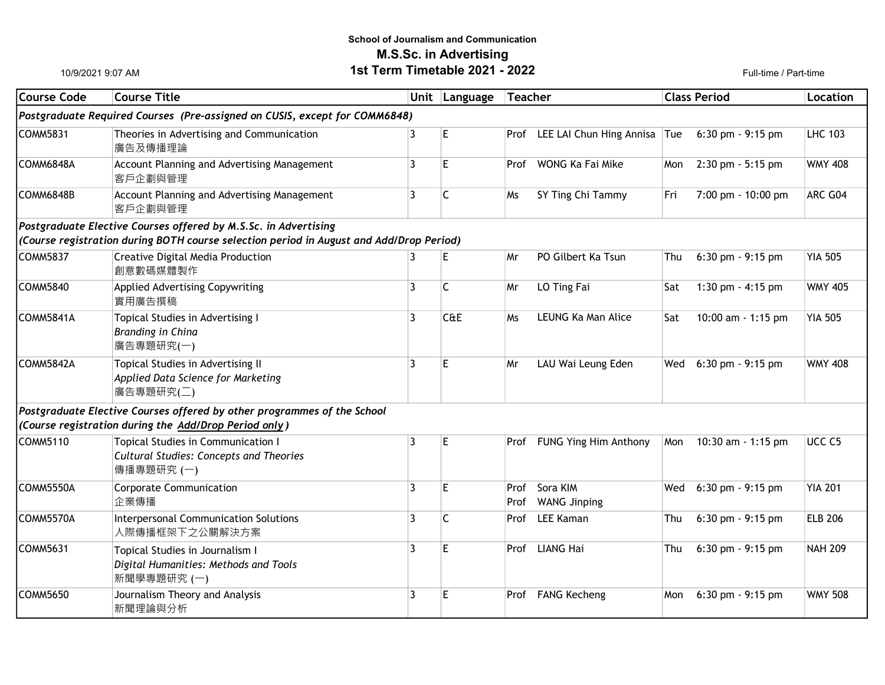## School of Journalism and Communication M.S.Sc. in Advertising 1st Term Timetable 2021 - 2022 Full-time / Part-time

10/9/2021 9:07 AM

| Course Code | <b>Course Title</b>                                                                                |   | Unit Language | Teacher      |                                   | <b>Class Period</b> |                      | Location          |
|-------------|----------------------------------------------------------------------------------------------------|---|---------------|--------------|-----------------------------------|---------------------|----------------------|-------------------|
|             | Postgraduate Required Courses (Pre-assigned on CUSIS, except for COMM6848)                         |   |               |              |                                   |                     |                      |                   |
| COMM5831    | Theories in Advertising and Communication<br>廣告及傳播理論                                               | 3 | E             |              | Prof LEE LAI Chun Hing Annisa Tue |                     | $6:30$ pm $-9:15$ pm | <b>LHC 103</b>    |
| COMM6848A   | Account Planning and Advertising Management<br>客戶企劃與管理                                             | 3 | E             | Prof         | WONG Ka Fai Mike                  | Mon                 | 2:30 pm - 5:15 pm    | <b>WMY 408</b>    |
| COMM6848B   | Account Planning and Advertising Management<br>客戶企劃與管理                                             | 3 | C             | Ms           | SY Ting Chi Tammy                 | Fri                 | 7:00 pm - 10:00 pm   | ARC G04           |
|             | Postgraduate Elective Courses offered by M.S.Sc. in Advertising                                    |   |               |              |                                   |                     |                      |                   |
|             | (Course registration during BOTH course selection period in August and Add/Drop Period)            |   |               |              |                                   |                     |                      |                   |
| COMM5837    | Creative Digital Media Production<br>創意數碼媒體製作                                                      | 3 | E             | Mr           | PO Gilbert Ka Tsun                | Thu                 | $6:30$ pm $-9:15$ pm | <b>YIA 505</b>    |
| COMM5840    | Applied Advertising Copywriting<br>實用廣告撰稿                                                          | 3 | C             | Mr           | LO Ting Fai                       | Sat                 | 1:30 pm $-$ 4:15 pm  | <b>WMY 405</b>    |
| COMM5841A   | Topical Studies in Advertising I<br><b>Branding in China</b><br>廣告專題研究(一)                          | 3 | CAE           | Ms           | LEUNG Ka Man Alice                | Sat                 | 10:00 am - 1:15 pm   | <b>YIA 505</b>    |
| COMM5842A   | Topical Studies in Advertising II<br>Applied Data Science for Marketing<br>廣告專題研究(二)               | 3 | E             | Mr           | LAU Wai Leung Eden                | Wed                 | 6:30 pm - 9:15 pm    | <b>WMY 408</b>    |
|             | $ Postgraduate$ Elective Courses offered by other programmes of the School                         |   |               |              |                                   |                     |                      |                   |
|             | (Course registration during the Add/Drop Period only)                                              |   |               |              |                                   |                     |                      |                   |
| COMM5110    | Topical Studies in Communication I<br><b>Cultural Studies: Concepts and Theories</b><br>傳播專題研究 (一) | 3 | E             | Prof         | FUNG Ying Him Anthony             | Mon                 | 10:30 am - 1:15 pm   | UCC <sub>C5</sub> |
| COMM5550A   | <b>Corporate Communication</b><br>企業傳播                                                             | 3 | E.            | Prof<br>Prof | Sora KIM<br><b>WANG Jinping</b>   | Wed                 | 6:30 pm - 9:15 pm    | <b>YIA 201</b>    |
| COMM5570A   | Interpersonal Communication Solutions<br>人際傳播框架下之公關解決方案                                            | 3 | $\mathsf{C}$  | Prof         | <b>LEE Kaman</b>                  | Thu                 | $6:30$ pm $-9:15$ pm | <b>ELB 206</b>    |
| COMM5631    | Topical Studies in Journalism I<br>Digital Humanities: Methods and Tools<br>新聞學專題研究 (一)            | 3 | E             | Prof         | <b>LIANG Hai</b>                  | Thu                 | $6:30$ pm $-9:15$ pm | <b>NAH 209</b>    |
| COMM5650    | Journalism Theory and Analysis<br>新聞理論與分析                                                          | 3 | E             | Prof         | <b>FANG Kecheng</b>               | Mon                 | $6:30$ pm $-9:15$ pm | <b>WMY 508</b>    |